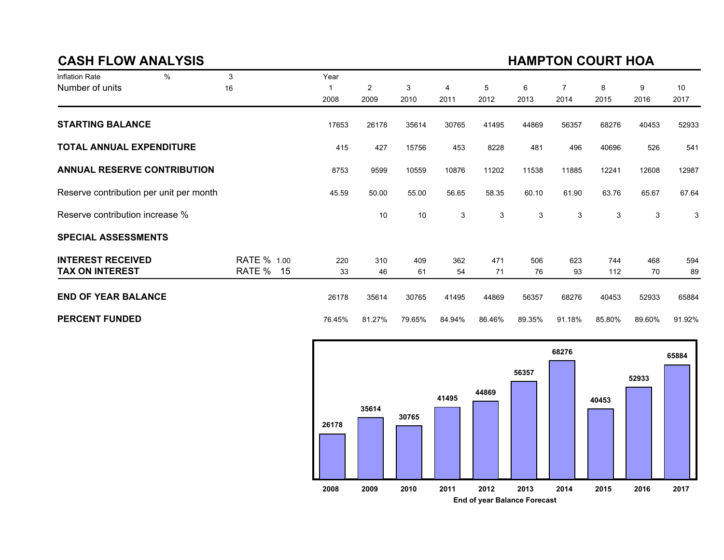### CASH FLOW ANALYSIS

# HAMPTON COURT HOA

| Inflation Rate                          | $\%$ | 3            | Year   |                |        |        |        |        |                |        |        |        |
|-----------------------------------------|------|--------------|--------|----------------|--------|--------|--------|--------|----------------|--------|--------|--------|
| Number of units                         |      | 16           |        | $\overline{2}$ | 3      | 4      | 5      | 6      | $\overline{7}$ | 8      | 9      | 10     |
|                                         |      |              | 2008   | 2009           | 2010   | 2011   | 2012   | 2013   | 2014           | 2015   | 2016   | 2017   |
| <b>STARTING BALANCE</b>                 |      |              | 17653  | 26178          | 35614  | 30765  | 41495  | 44869  | 56357          | 68276  | 40453  | 52933  |
| <b>TOTAL ANNUAL EXPENDITURE</b>         |      |              | 415    | 427            | 15756  | 453    | 8228   | 481    | 496            | 40696  | 526    | 541    |
| <b>ANNUAL RESERVE CONTRIBUTION</b>      |      |              | 8753   | 9599           | 10559  | 10876  | 11202  | 11538  | 11885          | 12241  | 12608  | 12987  |
| Reserve contribution per unit per month |      |              | 45.59  | 50.00          | 55.00  | 56.65  | 58.35  | 60.10  | 61.90          | 63.76  | 65.67  | 67.64  |
| Reserve contribution increase %         |      |              |        | 10             | 10     | 3      | 3      | 3      | 3              | 3      | 3      | 3      |
| <b>SPECIAL ASSESSMENTS</b>              |      |              |        |                |        |        |        |        |                |        |        |        |
| <b>INTEREST RECEIVED</b>                |      | RATE % 1.00  | 220    | 310            | 409    | 362    | 471    | 506    | 623            | 744    | 468    | 594    |
| <b>TAX ON INTEREST</b>                  |      | RATE %<br>15 | 33     | 46             | 61     | 54     | 71     | 76     | 93             | 112    | 70     | 89     |
| <b>END OF YEAR BALANCE</b>              |      |              | 26178  | 35614          | 30765  | 41495  | 44869  | 56357  | 68276          | 40453  | 52933  | 65884  |
| <b>PERCENT FUNDED</b>                   |      |              | 76.45% | 81.27%         | 79.65% | 84.94% | 86.46% | 89.35% | 91.18%         | 85.80% | 89.60% | 91.92% |

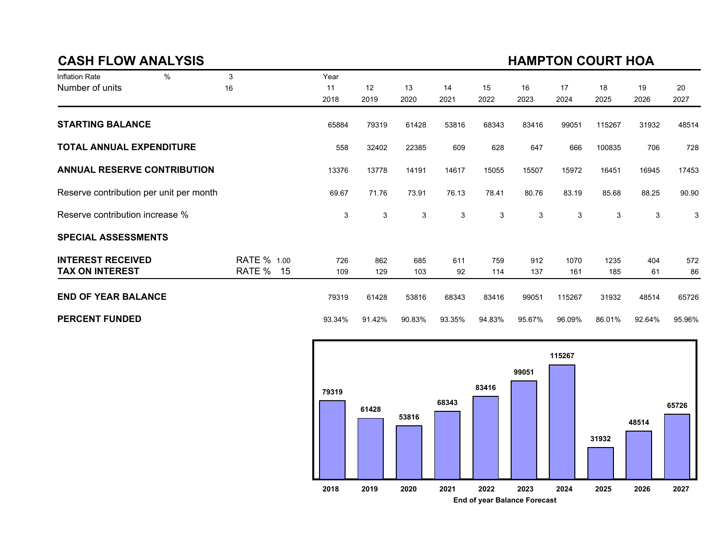### CASH FLOW ANALYSIS

# HAMPTON COURT HOA

| Inflation Rate                          | $\frac{0}{0}$ | 3            | Year   |             |        |        |        |             |        |        |        |        |
|-----------------------------------------|---------------|--------------|--------|-------------|--------|--------|--------|-------------|--------|--------|--------|--------|
| Number of units                         |               | 16           | 11     | 12          | 13     | 14     | 15     | 16          | 17     | 18     | 19     | 20     |
|                                         |               |              | 2018   | 2019        | 2020   | 2021   | 2022   | 2023        | 2024   | 2025   | 2026   | 2027   |
| <b>STARTING BALANCE</b>                 |               |              | 65884  | 79319       | 61428  | 53816  | 68343  | 83416       | 99051  | 115267 | 31932  | 48514  |
| <b>TOTAL ANNUAL EXPENDITURE</b>         |               |              | 558    | 32402       | 22385  | 609    | 628    | 647         | 666    | 100835 | 706    | 728    |
| <b>ANNUAL RESERVE CONTRIBUTION</b>      |               |              | 13376  | 13778       | 14191  | 14617  | 15055  | 15507       | 15972  | 16451  | 16945  | 17453  |
| Reserve contribution per unit per month |               |              | 69.67  | 71.76       | 73.91  | 76.13  | 78.41  | 80.76       | 83.19  | 85.68  | 88.25  | 90.90  |
| Reserve contribution increase %         |               |              | 3      | $\mathsf 3$ | 3      | 3      | 3      | $\mathsf 3$ | 3      | 3      | 3      | 3      |
| <b>SPECIAL ASSESSMENTS</b>              |               |              |        |             |        |        |        |             |        |        |        |        |
| <b>INTEREST RECEIVED</b>                |               | RATE % 1.00  | 726    | 862         | 685    | 611    | 759    | 912         | 1070   | 1235   | 404    | 572    |
| <b>TAX ON INTEREST</b>                  |               | RATE %<br>15 | 109    | 129         | 103    | 92     | 114    | 137         | 161    | 185    | 61     | 86     |
| <b>END OF YEAR BALANCE</b>              |               |              | 79319  | 61428       | 53816  | 68343  | 83416  | 99051       | 115267 | 31932  | 48514  | 65726  |
| <b>PERCENT FUNDED</b>                   |               |              | 93.34% | 91.42%      | 90.83% | 93.35% | 94.83% | 95.67%      | 96.09% | 86.01% | 92.64% | 95.96% |